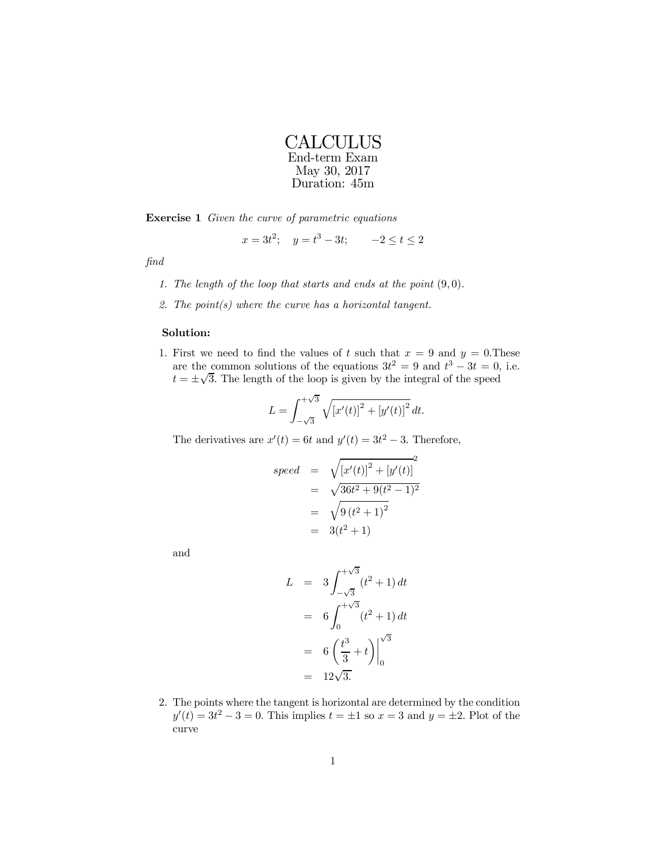Exercise 1 Given the curve of parametric equations

$$
x = 3t^2
$$
;  $y = t^3 - 3t$ ;  $-2 \le t \le 2$ 

find

- 1. The length of the loop that starts and ends at the point  $(9,0)$ .
- 2. The  $point(s)$  where the curve has a horizontal tangent.

## Solution:

1. First we need to find the values of t such that  $x = 9$  and  $y = 0$ . These are the common solutions of the equations  $3t^2 = 9$  and  $t^3 - 3t = 0$ , i.e.  $t = \pm \sqrt{3}$ . The length of the loop is given by the integral of the speed

$$
L = \int_{-\sqrt{3}}^{+\sqrt{3}} \sqrt{\left[x'(t)\right]^2 + \left[y'(t)\right]^2} dt.
$$

The derivatives are  $x'(t) = 6t$  and  $y'(t) = 3t^2 - 3$ . Therefore,

$$
speed = \sqrt{[x'(t)]^2 + [y'(t)]^2}
$$
  
=  $\sqrt{36t^2 + 9(t^2 - 1)^2}$   
=  $\sqrt{9(t^2 + 1)^2}$   
=  $3(t^2 + 1)$ 

and

$$
L = 3 \int_{-\sqrt{3}}^{+\sqrt{3}} (t^2 + 1) dt
$$
  
=  $6 \int_{0}^{+\sqrt{3}} (t^2 + 1) dt$   
=  $6 \left( \frac{t^3}{3} + t \right) \Big|_{0}^{\sqrt{3}}$   
=  $12\sqrt{3}$ .

2. The points where the tangent is horizontal are determined by the condition  $y'(t) = 3t^2 - 3 = 0$ . This implies  $t = \pm 1$  so  $x = 3$  and  $y = \pm 2$ . Plot of the curve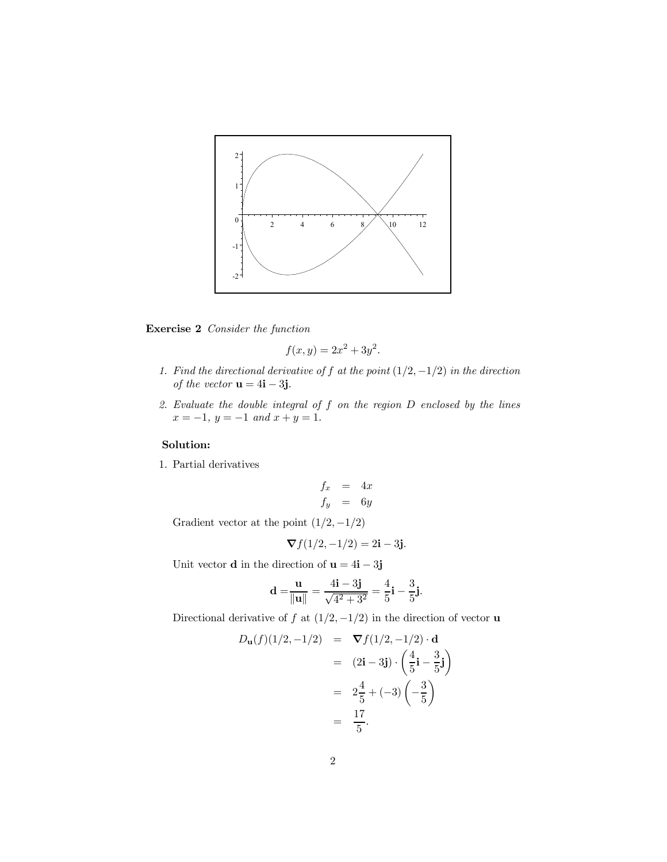

Exercise 2 Consider the function

$$
f(x,y) = 2x^2 + 3y^2.
$$

- 1. Find the directional derivative of f at the point  $(1/2, -1/2)$  in the direction of the vector  $\mathbf{u} = 4\mathbf{i} - 3\mathbf{j}$ .
- 2. Evaluate the double integral of f on the region D enclosed by the lines  $x = -1$ ,  $y = -1$  and  $x + y = 1$ .

## Solution:

1. Partial derivatives

$$
\begin{array}{rcl}\nf_x & = & 4x \\
f_y & = & 6y\n\end{array}
$$

Gradient vector at the point  $(1/2, -1/2)$ 

$$
\nabla f(1/2, -1/2) = 2i - 3j.
$$

Unit vector  ${\bf d}$  in the direction of  ${\bf u}=4{\bf i}-3{\bf j}$ 

$$
\mathbf{d} = \frac{\mathbf{u}}{\|\mathbf{u}\|} = \frac{4\mathbf{i} - 3\mathbf{j}}{\sqrt{4^2 + 3^2}} = \frac{4}{5}\mathbf{i} - \frac{3}{5}\mathbf{j}.
$$

Directional derivative of  $f$  at  $(1/2, -1/2)$  in the direction of vector **u** 

$$
D_{\mathbf{u}}(f)(1/2, -1/2) = \nabla f(1/2, -1/2) \cdot \mathbf{d}
$$
  
\n
$$
= (2\mathbf{i} - 3\mathbf{j}) \cdot \left(\frac{4}{5}\mathbf{i} - \frac{3}{5}\mathbf{j}\right)
$$
  
\n
$$
= 2\frac{4}{5} + (-3)\left(-\frac{3}{5}\right)
$$
  
\n
$$
= \frac{17}{5}.
$$